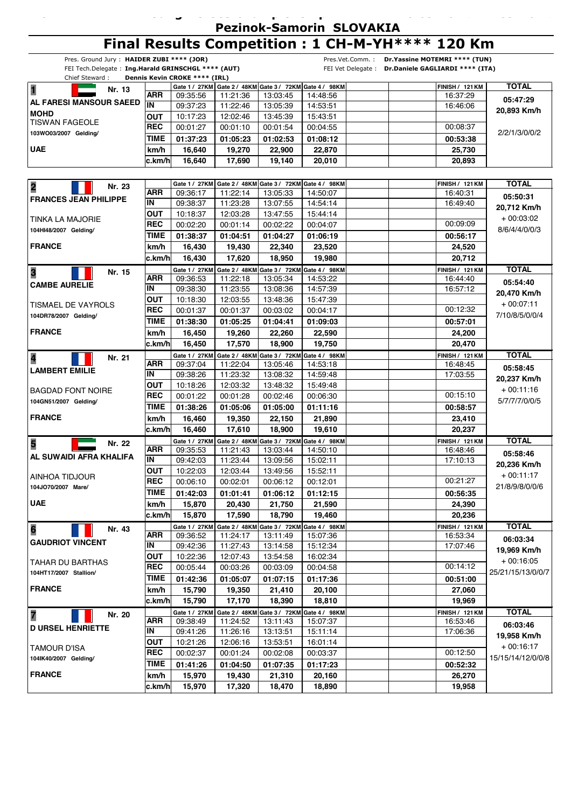**26.09.2014 27.09.2014 -**

# **Final Results Competition : 1 CH-M-YH\*\*\*\* 120 Km**

| Pres. Ground Jury: HAIDER ZUBI **** (JOR)<br>Pres.Vet.Comm.: Dr.Yassine MOTEMRI **** (TUN) |                          |                               |                      |                                                       |                                                         |                                                    |                                    |                   |  |
|--------------------------------------------------------------------------------------------|--------------------------|-------------------------------|----------------------|-------------------------------------------------------|---------------------------------------------------------|----------------------------------------------------|------------------------------------|-------------------|--|
| FEI Tech.Delegate: Ing.Harald GRINSCHGL **** (AUT)                                         |                          |                               |                      |                                                       |                                                         | FEI Vet Delegate : Dr.Daniele GAGLIARDI **** (ITA) |                                    |                   |  |
| Chief Steward:                                                                             |                          | Dennis Kevin CROKE **** (IRL) |                      |                                                       |                                                         |                                                    |                                    |                   |  |
| 1<br>Nr. 13                                                                                |                          |                               |                      |                                                       | Gate 1 / 27KM Gate 2 / 48KM Gate 3 / 72KM Gate 4 / 98KM |                                                    | <b>FINISH / 121 KM</b>             | <b>TOTAL</b>      |  |
| AL FARESI MANSOUR SAEED                                                                    | <b>ARR</b><br>IN         | 09:35:56                      | 11:21:36             | 13:03:45                                              | 14:48:56                                                |                                                    | 16:37:29                           | 05:47:29          |  |
| <b>MOHD</b>                                                                                |                          | 09:37:23                      | 11:22:46             | 13:05:39                                              | 14:53:51                                                |                                                    | 16:46:06                           | 20,893 Km/h       |  |
| <b>TISWAN FAGEOLE</b>                                                                      | <b>OUT</b><br><b>REC</b> | 10:17:23                      | 12:02:46             | 13:45:39                                              | 15:43:51                                                |                                                    | 00:08:37                           |                   |  |
| 103WO03/2007 Gelding/                                                                      |                          | 00:01:27                      | 00:01:10             | 00:01:54                                              | 00:04:55                                                |                                                    |                                    | 2/2/1/3/0/0/2     |  |
|                                                                                            | TIME                     | 01:37:23                      | 01:05:23             | 01:02:53                                              | 01:08:12                                                |                                                    | 00:53:38                           |                   |  |
| <b>UAE</b>                                                                                 | km/h                     | 16,640                        | 19,270               | 22,900                                                | 22,870                                                  |                                                    | 25,730                             |                   |  |
|                                                                                            | c.km/h                   | 16,640                        | 17,690               | 19.140                                                | 20,010                                                  |                                                    | 20,893                             |                   |  |
|                                                                                            |                          |                               |                      |                                                       |                                                         |                                                    |                                    |                   |  |
| $\overline{\mathbf{2}}$<br>Nr. 23                                                          |                          | Gate 1 / 27KM                 |                      | Gate 2 / 48KM Gate 3 / 72KM Gate 4 / 98KM             |                                                         |                                                    | <b>FINISH / 121 KM</b>             | <b>TOTAL</b>      |  |
| <b>FRANCES JEAN PHILIPPE</b>                                                               | ARR                      | 09:36:17                      | 11:22:14             | 13:05:33                                              | 14:50:07                                                |                                                    | 16:40:31                           | 05:50:31          |  |
|                                                                                            | IN                       | 09:38:37                      | 11:23:28             | 13:07:55                                              | 14:54:14                                                |                                                    | 16:49:40                           | 20,712 Km/h       |  |
| TINKA LA MAJORIE                                                                           | <b>OUT</b>               | 10:18:37                      | 12:03:28             | 13:47:55                                              | 15:44:14                                                |                                                    |                                    | $+00:03:02$       |  |
| 104HI48/2007 Gelding/                                                                      | <b>REC</b>               | 00:02:20                      | 00:01:14             | 00:02:22                                              | 00:04:07                                                |                                                    | 00:09:09                           | 8/6/4/4/0/0/3     |  |
|                                                                                            | <b>TIME</b>              | 01:38:37                      | 01:04:51             | 01:04:27                                              | 01:06:19                                                |                                                    | 00:56:17                           |                   |  |
| <b>FRANCE</b>                                                                              | km/h                     | 16,430                        | 19,430               | 22,340                                                | 23,520                                                  |                                                    | 24,520                             |                   |  |
|                                                                                            | c.km/h                   | 16,430                        | 17,620               | 18,950                                                | 19,980                                                  |                                                    | 20,712                             |                   |  |
| 3<br>Nr. 15                                                                                |                          | Gate 1 / 27KM                 |                      | Gate 2 / 48KM Gate 3 / 72KM Gate 4 / 98KM             |                                                         |                                                    | <b>FINISH / 121 KM</b>             | <b>TOTAL</b>      |  |
| <b>CAMBE AURELIE</b>                                                                       | ARR                      | 09:36:53                      | 11:22:18             | 13:05:34                                              | 14:53:22                                                |                                                    | 16:44:40                           | 05:54:40          |  |
|                                                                                            | IN                       | 09:38:30                      | 11:23:55             | 13:08:36                                              | 14:57:39                                                |                                                    | 16:57:12                           | 20,470 Km/h       |  |
| TISMAEL DE VAYROLS                                                                         | <b>OUT</b>               | 10:18:30                      | 12:03:55             | 13:48:36                                              | 15:47:39                                                |                                                    |                                    | $+00:07:11$       |  |
| 104DR78/2007 Gelding/                                                                      | <b>REC</b>               | 00:01:37                      | 00:01:37             | 00:03:02                                              | 00:04:17                                                |                                                    | 00:12:32                           | 7/10/8/5/0/0/4    |  |
|                                                                                            | <b>TIME</b>              | 01:38:30                      | 01:05:25             | 01:04:41                                              | 01:09:03                                                |                                                    | 00:57:01                           |                   |  |
| <b>FRANCE</b>                                                                              | km/h                     | 16,450                        | 19,260               | 22,260                                                | 22,590                                                  |                                                    | 24,200                             |                   |  |
|                                                                                            | c.km/h                   | 16,450                        | 17,570               | 18,900                                                | 19,750                                                  |                                                    | 20,470                             |                   |  |
| 4<br>Nr. 21                                                                                |                          | Gate 1 / 27KM                 |                      | Gate 2 / 48KM Gate 3 / 72KM Gate 4 / 98KM             |                                                         |                                                    | <b>FINISH / 121 KM</b>             | <b>TOTAL</b>      |  |
| <b>LAMBERT EMILIE</b>                                                                      | ARR                      | 09:37:04                      | 11:22:04             | 13:05:46                                              | 14:53:18                                                |                                                    | 16:48:45                           | 05:58:45          |  |
|                                                                                            | IN                       | 09:38:26                      | 11:23:32             | 13:08:32                                              | 14:59:48                                                |                                                    | 17:03:55                           | 20,237 Km/h       |  |
| <b>BAGDAD FONT NOIRE</b>                                                                   | <b>OUT</b>               | 10:18:26                      | 12:03:32             | 13:48:32                                              | 15:49:48                                                |                                                    |                                    | $+00:11:16$       |  |
| 104GN51/2007 Gelding/                                                                      | <b>REC</b>               | 00:01:22                      | 00:01:28             | 00:02:46                                              | 00:06:30                                                |                                                    | 00:15:10                           | 5/7/7/7/0/0/5     |  |
|                                                                                            | <b>TIME</b>              | 01:38:26                      | 01:05:06             | 01:05:00                                              | 01:11:16                                                |                                                    | 00:58:57                           |                   |  |
| <b>FRANCE</b>                                                                              | km/h                     | 16,460                        | 19,350               | 22,150                                                | 21,890                                                  |                                                    | 23,410                             |                   |  |
|                                                                                            | c.km/h                   | 16,460                        | 17,610               | 18,900                                                | 19,610                                                  |                                                    | 20,237                             |                   |  |
| 5<br>Nr. 22                                                                                |                          | Gate 1 / 27KM                 |                      | Gate 2 / 48KM Gate 3 / 72KM Gate 4 / 98KM             |                                                         |                                                    | <b>FINISH / 121 KM</b>             | <b>TOTAL</b>      |  |
| AL SUWAIDI AFRA KHALIFA                                                                    | <b>ARR</b>               | 09:35:53                      | 11:21:43             | 13:03:44                                              | 14:50:10                                                |                                                    | 16:48:46                           | 05:58:46          |  |
|                                                                                            | IN                       | 09:42:03                      | 11:23:44             | 13:09:56                                              | 15:02:11                                                |                                                    | 17:10:13                           | 20,236 Km/h       |  |
| AINHOA TIDJOUR                                                                             | <b>OUT</b>               | 10:22:03                      | 12:03:44             | 13:49:56                                              | 15:52:11                                                |                                                    |                                    | $+00:11:17$       |  |
| 104JO70/2007 Mare/                                                                         | <b>REC</b>               | 00:06:10                      | 00:02:01             | 00:06:12                                              | 00:12:01                                                |                                                    | 00:21:27                           | 21/8/9/8/0/0/6    |  |
|                                                                                            | TIME                     | 01:42:03                      | 01:01:41             | 01:06:12                                              | 01:12:15                                                |                                                    | 00:56:35                           |                   |  |
| <b>UAE</b>                                                                                 | km/h                     | 15,870                        | 20,430               | 21,750                                                | 21,590                                                  |                                                    | 24,390                             |                   |  |
|                                                                                            | c.km/h                   | 15,870                        | 17,590               | 18,790                                                | 19,460                                                  |                                                    | 20,236                             |                   |  |
| $6\phantom{a}$<br>Nr. 43                                                                   |                          | Gate 1 / 27KM                 |                      | Gate 2 / 48KM Gate 3 / 72KM Gate 4 / 98KM             |                                                         |                                                    | <b>FINISH / 121 KM</b>             | <b>TOTAL</b>      |  |
| <b>GAUDRIOT VINCENT</b>                                                                    | ARR<br>IN                | 09:36:52                      | 11:24:17             | 13:11:49                                              | 15:07:36                                                |                                                    | 16:53:34                           | 06:03:34          |  |
|                                                                                            | <b>OUT</b>               | 09:42:36<br>10:22:36          | 11:27:43<br>12:07:43 | 13:14:58<br>13:54:58                                  | 15:12:34<br>16:02:34                                    |                                                    | 17:07:46                           | 19,969 Km/h       |  |
| TAHAR DU BARTHAS                                                                           | <b>REC</b>               | 00:05:44                      | 00:03:26             | 00:03:09                                              | 00:04:58                                                |                                                    | 00:14:12                           | $+00:16:05$       |  |
| 104HT17/2007 Stallion/                                                                     | TIME                     | 01:42:36                      |                      |                                                       |                                                         |                                                    |                                    | 25/21/15/13/0/0/7 |  |
| <b>FRANCE</b>                                                                              |                          |                               | 01:05:07             | 01:07:15                                              | 01:17:36                                                |                                                    | 00:51:00                           |                   |  |
|                                                                                            | km/h<br>c.km/h           | 15,790<br>15,790              | 19,350<br>17,170     | 21,410<br>18,390                                      | 20,100<br>18,810                                        |                                                    | 27,060<br>19,969                   |                   |  |
|                                                                                            |                          |                               |                      |                                                       |                                                         |                                                    |                                    |                   |  |
| $\overline{\mathbf{z}}$<br>Nr. 20                                                          | <b>ARR</b>               | Gate 1 / 27KM<br>09:38:49     | 11:24:52             | Gate 2 / 48KM Gate 3 / 72KM Gate 4 / 98KM<br>13:11:43 | 15:07:37                                                |                                                    | <b>FINISH / 121 KM</b><br>16:53:46 | <b>TOTAL</b>      |  |
| <b>D URSEL HENRIETTE</b>                                                                   | IN                       | 09:41:26                      | 11:26:16             | 13:13:51                                              | 15:11:14                                                |                                                    | 17:06:36                           | 06:03:46          |  |
|                                                                                            | <b>OUT</b>               | 10:21:26                      | 12:06:16             | 13:53:51                                              | 16:01:14                                                |                                                    |                                    | 19,958 Km/h       |  |
| <b>TAMOUR D'ISA</b>                                                                        | <b>REC</b>               | 00:02:37                      | 00:01:24             | 00:02:08                                              | 00:03:37                                                |                                                    | 00:12:50                           | $+00:16:17$       |  |
| 104lK40/2007 Gelding/                                                                      | <b>TIME</b>              | 01:41:26                      |                      | 01:07:35                                              |                                                         |                                                    |                                    | 15/15/14/12/0/0/8 |  |
| <b>FRANCE</b>                                                                              | km/h                     | 15,970                        | 01:04:50<br>19,430   |                                                       | 01:17:23<br>20,160                                      |                                                    | 00:52:32<br>26,270                 |                   |  |
|                                                                                            | c.km/h                   | 15,970                        | 17,320               | 21,310<br>18,470                                      | 18,890                                                  |                                                    | 19,958                             |                   |  |
|                                                                                            |                          |                               |                      |                                                       |                                                         |                                                    |                                    |                   |  |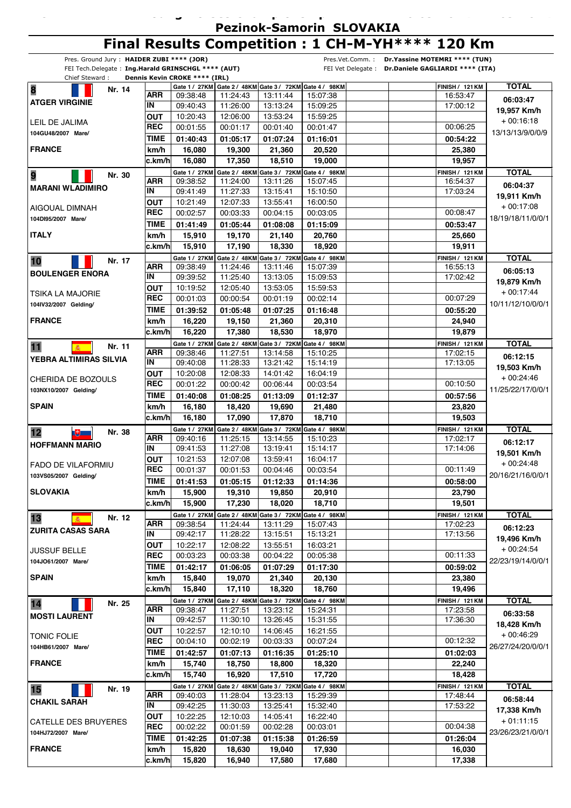**26.09.2014 27.09.2014 -**

## **Final Results Competition : 1 CH-M-YH\*\*\*\* 120 Km**

| Pres. Ground Jury: HAIDER ZUBI **** (JOR)          |                 |                                  |                      |                                                                     |                      | Pres.Vet.Comm.: Dr.Yassine MOTEMRI **** (TUN)      |                   |
|----------------------------------------------------|-----------------|----------------------------------|----------------------|---------------------------------------------------------------------|----------------------|----------------------------------------------------|-------------------|
| FEI Tech.Delegate: Ing.Harald GRINSCHGL **** (AUT) |                 |                                  |                      |                                                                     |                      | FEI Vet Delegate : Dr.Daniele GAGLIARDI **** (ITA) |                   |
| Chief Steward:                                     |                 | Dennis Kevin CROKE **** (IRL)    |                      |                                                                     |                      |                                                    |                   |
| 8<br>Nr. 14                                        | ARR             | 09:38:48                         | 11:24:43             | Gate 1 / 27KM Gate 2 / 48KM Gate 3 / 72KM Gate 4 / 98KM<br>13:11:44 | 15:07:38             | <b>FINISH / 121 KM</b><br>16:53:47                 | <b>TOTAL</b>      |
| <b>ATGER VIRGINIE</b>                              | IN              | 09:40:43                         | 11:26:00             | 13:13:24                                                            | 15:09:25             | 17:00:12                                           | 06:03:47          |
|                                                    | <b>OUT</b>      | 10:20:43                         | 12:06:00             | 13:53:24                                                            | 15:59:25             |                                                    | 19,957 Km/h       |
| LEIL DE JALIMA                                     | <b>REC</b>      | 00:01:55                         | 00:01:17             | 00:01:40                                                            | 00:01:47             | 00:06:25                                           | $+00:16:18$       |
| 104GU48/2007 Mare/                                 | TIME            | 01:40:43                         | 01:05:17             | 01:07:24                                                            | 01:16:01             | 00:54:22                                           | 13/13/13/9/0/0/9  |
| <b>FRANCE</b>                                      | km/h            | 16,080                           | 19,300               | 21,360                                                              | 20,520               | 25,380                                             |                   |
|                                                    | c.km/hl         | 16,080                           | 17,350               | 18,510                                                              | 19,000               | 19,957                                             |                   |
|                                                    |                 | Gate 1 / 27KM                    |                      | Gate 2 / 48KM Gate 3 / 72KM Gate 4 / 98KM                           |                      | <b>FINISH / 121 KM</b>                             | <b>TOTAL</b>      |
| 9<br>Nr. 30                                        | <b>ARR</b>      | 09:38:52                         | 11:24:00             | 13:11:26                                                            | 15:07:45             | 16:54:37                                           |                   |
| MARANI WLADIMIRO                                   | IN              | 09:41:49                         | 11:27:33             | 13:15:41                                                            | 15:10:50             | 17:03:24                                           | 06:04:37          |
|                                                    | <b>OUT</b>      | 10:21:49                         | 12:07:33             | 13:55:41                                                            | 16:00:50             |                                                    | 19,911 Km/h       |
| AIGOUAL DIMNAH                                     | <b>REC</b>      | 00:02:57                         | 00:03:33             | 00:04:15                                                            | 00:03:05             | 00:08:47                                           | $+00:17:08$       |
| 104DI95/2007 Mare/                                 | TIME            | 01:41:49                         | 01:05:44             | 01:08:08                                                            | 01:15:09             | 00:53:47                                           | 18/19/18/11/0/0/1 |
| <b>ITALY</b>                                       | km/h            | 15,910                           | 19,170               | 21,140                                                              | 20,760               | 25,660                                             |                   |
|                                                    | c.km/h          | 15,910                           | 17,190               | 18,330                                                              | 18,920               | 19,911                                             |                   |
|                                                    |                 | Gate 1 / 27KM                    |                      | Gate 2 / 48KM Gate 3 / 72KM Gate 4 / 98KM                           |                      | <b>FINISH / 121 KM</b>                             | <b>TOTAL</b>      |
| Nr. 17<br>10                                       | <b>ARR</b>      | 09:38:49                         | 11:24:46             | 13:11:46                                                            | 15:07:39             | 16:55:13                                           | 06:05:13          |
| <b>BOULENGER ENORA</b>                             | IN              | 09:39:52                         | 11:25:40             | 13:13:05                                                            | 15:09:53             | 17:02:42                                           | 19,879 Km/h       |
| TSIKA LA MAJORIE                                   | <b>OUT</b>      | 10:19:52                         | 12:05:40             | 13:53:05                                                            | 15:59:53             |                                                    | $+00:17:44$       |
| 104IV32/2007 Gelding/                              | <b>REC</b>      | 00:01:03                         | 00:00:54             | 00:01:19                                                            | 00:02:14             | 00:07:29                                           | 10/11/12/10/0/0/1 |
|                                                    | <b>TIME</b>     | 01:39:52                         | 01:05:48             | 01:07:25                                                            | 01:16:48             | 00:55:20                                           |                   |
| <b>FRANCE</b>                                      | km/h            | 16,220                           | 19,150               | 21,360                                                              | 20,310               | 24,940                                             |                   |
|                                                    | c.km/h          | 16,220                           | 17,380               | 18,530                                                              | 18,970               | 19,879                                             |                   |
| 11<br>Nr. 11<br>癌 -                                |                 | Gate 1 / 27KM                    |                      | Gate 2 / 48KM Gate 3 / 72KM Gate 4 / 98KM                           |                      | <b>FINISH / 121 KM</b>                             | <b>TOTAL</b>      |
| I YEBRA ALTIMIRAS SILVIA                           | <b>ARR</b>      | 09:38:46                         | 11:27:51             | 13:14:58                                                            | 15:10:25             | 17:02:15                                           | 06:12:15          |
|                                                    | IN              | 09:40:08                         | 11:28:33             | 13:21:42                                                            | 15:14:19             | 17:13:05                                           | 19,503 Km/h       |
| CHERIDA DE BOZOULS                                 | <b>OUT</b>      | 10:20:08                         | 12:08:33             | 14:01:42                                                            | 16:04:19             |                                                    | $+00:24:46$       |
| 103NX10/2007 Gelding/                              | <b>REC</b>      | 00:01:22                         | 00:00:42             | 00:06:44                                                            | 00:03:54             | 00:10:50                                           | 11/25/22/17/0/0/1 |
|                                                    | <b>TIME</b>     | 01:40:08                         | 01:08:25             | 01:13:09                                                            | 01:12:37             | 00:57:56                                           |                   |
| <b>SPAIN</b>                                       | km/h            | 16,180                           | 18,420               | 19,690                                                              | 21,480               | 23,820                                             |                   |
|                                                    | c.km/h          | 16,180                           | 17,090               | 17,870                                                              | 18,710               | 19,503                                             |                   |
| 12<br>Nr. 38<br>$\mathbb{R}^+$                     |                 | Gate 1 / 27KM                    |                      | Gate 2 / 48KM Gate 3 / 72KM Gate 4 / 98KM                           |                      | <b>FINISH / 121 KM</b>                             | <b>TOTAL</b>      |
| <b>HOFFMANN MARIO</b>                              | ARR<br>IN       | 09:40:16                         | 11:25:15             | 13:14:55                                                            | 15:10:23             | 17:02:17                                           | 06:12:17          |
|                                                    | <b>OUT</b>      | 09:41:53<br>10:21:53             | 11:27:08             | 13:19:41                                                            | 15:14:17             | 17:14:06                                           | 19,501 Km/h       |
| FADO DE VILAFORMIU                                 | <b>REC</b>      | 00:01:37                         | 12:07:08<br>00:01:53 | 13:59:41<br>00:04:46                                                | 16:04:17<br>00:03:54 | 00:11:49                                           | $+00:24:48$       |
| 103VS05/2007 Gelding/                              |                 | $\boxed{\mathsf{TIME}}$ 01:41:53 |                      |                                                                     |                      |                                                    | 20/16/21/16/0/0/1 |
| <b>SLOVAKIA</b>                                    |                 |                                  | 01:05:15             | 01:12:33                                                            | 01:14:36             | 00:58:00                                           |                   |
|                                                    | km/h<br>∣c.km/h | 15,900<br>15,900                 | 19,310<br>17,230     | 19,850<br>18,020                                                    | 20,910<br>18,710     | 23,790<br>19,501                                   |                   |
|                                                    |                 | Gate 1 / 27KM                    |                      |                                                                     |                      |                                                    | <b>TOTAL</b>      |
| 13<br>Nr. 12                                       | ARR             | 09:38:54                         | 11:24:44             | Gate 2 / 48KM Gate 3 / 72KM Gate 4 / 98KM<br>13:11:29               | 15:07:43             | <b>FINISH / 121 KM</b><br>17:02:23                 |                   |
| <b>ZURITA CASAS SARA</b>                           | IN              | 09:42:17                         | 11:28:22             | 13:15:51                                                            | 15:13:21             | 17:13:56                                           | 06:12:23          |
|                                                    | <b>OUT</b>      | 10:22:17                         | 12:08:22             | 13:55:51                                                            | 16:03:21             |                                                    | 19,496 Km/h       |
| <b>JUSSUF BELLE</b>                                | <b>REC</b>      | 00:03:23                         | 00:03:38             | 00:04:22                                                            | 00:05:38             | 00:11:33                                           | $+00:24:54$       |
| 104JO61/2007 Mare/                                 | <b>TIME</b>     | 01:42:17                         | 01:06:05             | 01:07:29                                                            | 01:17:30             | 00:59:02                                           | 22/23/19/14/0/0/1 |
| <b>SPAIN</b>                                       | km/h            | 15,840                           | 19,070               | 21,340                                                              | 20,130               | 23,380                                             |                   |
|                                                    | c.km/h          | 15,840                           | 17,110               | 18,320                                                              | 18,760               | 19,496                                             |                   |
| Nr. 25                                             |                 | Gate 1 / 27KM                    |                      | Gate 2 / 48KM Gate 3 / 72KM Gate 4 / 98KM                           |                      | <b>FINISH / 121 KM</b>                             | <b>TOTAL</b>      |
| 14                                                 | ARR             | 09:38:47                         | 11:27:51             | 13:23:12                                                            | 15:24:31             | 17:23:58                                           | 06:33:58          |
| <b>MOSTI LAURENT</b>                               | IN              | 09:42:57                         | 11:30:10             | 13:26:45                                                            | 15:31:55             | 17:36:30                                           | 18,428 Km/h       |
| <b>TONIC FOLIE</b>                                 | OUT             | 10:22:57                         | 12:10:10             | 14:06:45                                                            | 16:21:55             |                                                    | + 00:46:29        |
| 104HB61/2007 Mare/                                 | <b>REC</b>      | 00:04:10                         | 00:02:19             | 00:03:33                                                            | 00:07:24             | 00:12:32                                           | 26/27/24/20/0/0/1 |
|                                                    | <b>TIME</b>     | 01:42:57                         | 01:07:13             | 01:16:35                                                            | 01:25:10             | 01:02:03                                           |                   |
| <b>FRANCE</b>                                      | km/h            | 15,740                           | 18,750               | 18,800                                                              | 18,320               | 22,240                                             |                   |
|                                                    | c.km/h          | 15,740                           | 16,920               | 17,510                                                              | 17,720               | 18,428                                             |                   |
| 15<br>Nr. 19                                       |                 | Gate 1 / 27KM                    |                      | Gate 2 / 48KM Gate 3 / 72KM Gate 4 / 98KM                           |                      | <b>FINISH / 121 KM</b>                             | <b>TOTAL</b>      |
| <b>CHAKIL SARAH</b>                                | ARR             | 09:40:03                         | 11:28:04             | 13:23:13                                                            | 15:29:39             | 17:48:44                                           | 06:58:44          |
|                                                    | IN              | 09:42:25                         | 11:30:03             | 13:25:41                                                            | 15:32:40             | 17:53:22                                           | 17,338 Km/h       |
| CATELLE DES BRUYERES                               | <b>OUT</b>      | 10:22:25                         | 12:10:03             | 14:05:41                                                            | 16:22:40             |                                                    | + 01:11:15        |
| 104HJ72/2007 Mare/                                 | <b>REC</b>      | 00:02:22                         | 00:01:59             | 00:02:28                                                            | 00:03:01             | 00:04:38                                           | 23/26/23/21/0/0/1 |
|                                                    | <b>TIME</b>     | 01:42:25                         | 01:07:38             | 01:15:38                                                            | 01:26:59             | 01:26:04                                           |                   |
| <b>FRANCE</b>                                      | km/h            | 15,820                           | 18,630               | 19,040                                                              | 17,930               | 16,030                                             |                   |
|                                                    | c.km/h          | 15,820                           | 16,940               | 17,580                                                              | 17,680               | 17,338                                             |                   |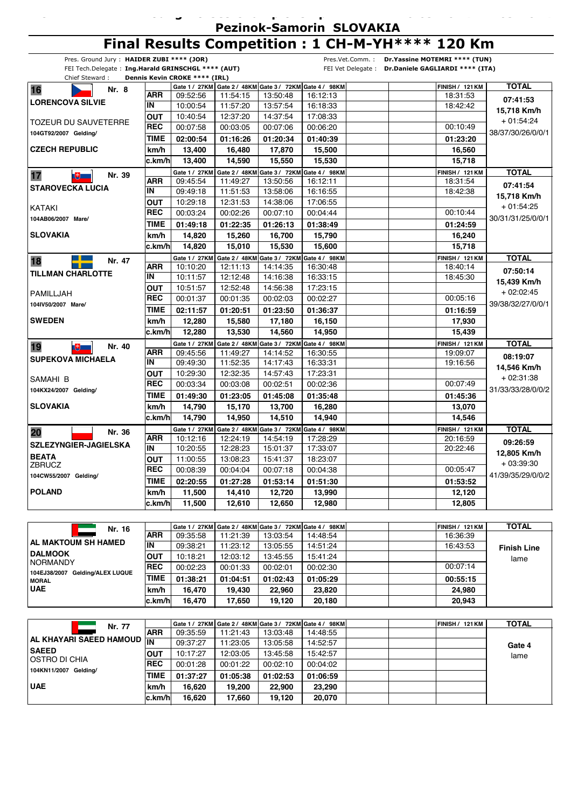**26.09.2014 27.09.2014 -**

# **Final Results Competition : 1 CH-M-YH\*\*\*\* 120 Km**

| Pres. Ground Jury: HAIDER ZUBI **** (JOR)          |             |                               |          |                                           |                                                         | Pres.Vet.Comm.: Dr.Yassine MOTEMRI **** (TUN)      |                                       |
|----------------------------------------------------|-------------|-------------------------------|----------|-------------------------------------------|---------------------------------------------------------|----------------------------------------------------|---------------------------------------|
| FEI Tech.Delegate: Ing.Harald GRINSCHGL **** (AUT) |             |                               |          |                                           |                                                         | FEI Vet Delegate : Dr.Daniele GAGLIARDI **** (ITA) |                                       |
| Chief Steward:                                     |             | Dennis Kevin CROKE **** (IRL) |          |                                           | Gate 1 / 27KM Gate 2 / 48KM Gate 3 / 72KM Gate 4 / 98KM | <b>FINISH / 121 KM</b>                             | <b>TOTAL</b>                          |
| 16<br>Nr. 8                                        | ARR         | 09:52:56                      | 11:54:15 | 13:50:48                                  | 16:12:13                                                | 18:31:53                                           |                                       |
| <b>LORENCOVA SILVIE</b>                            | IN          | 10:00:54                      | 11:57:20 | 13:57:54                                  | 16:18:33                                                | 18:42:42                                           | 07:41:53                              |
|                                                    | <b>OUT</b>  | 10:40:54                      | 12:37:20 | 14:37:54                                  | 17:08:33                                                |                                                    | 15,718 Km/h                           |
| <b>TOZEUR DU SAUVETERRE</b>                        | <b>REC</b>  | 00:07:58                      | 00:03:05 | 00:07:06                                  | 00:06:20                                                | 00:10:49                                           | $+01:54:24$                           |
| 104GT92/2007 Gelding/                              | <b>TIME</b> | 02:00:54                      | 01:16:26 | 01:20:34                                  | 01:40:39                                                | 01:23:20                                           | 38/37/30/26/0/0/1                     |
| <b>CZECH REPUBLIC</b>                              | km/h        | 13,400                        | 16,480   | 17,870                                    | 15,500                                                  | 16,560                                             |                                       |
|                                                    | c.km/h      | 13,400                        | 14,590   | 15,550                                    | 15,530                                                  | 15,718                                             |                                       |
| 17<br>Nr. 39                                       |             | Gate 1 / 27KM                 |          | Gate 2 / 48KM Gate 3 / 72KM Gate 4 / 98KM |                                                         | <b>FINISH / 121 KM</b>                             | <b>TOTAL</b>                          |
| $\mathbb{R}^+$                                     | ARR         | 09:45:54                      | 11:49:27 | 13:50:56                                  | 16:12:11                                                | 18:31:54                                           | 07:41:54                              |
| <b>STAROVECKA LUCIA</b>                            | IN          | 09:49:18                      | 11:51:53 | 13:58:06                                  | 16:16:55                                                | 18:42:38                                           | 15,718 Km/h                           |
|                                                    | <b>OUT</b>  | 10:29:18                      | 12:31:53 | 14:38:06                                  | 17:06:55                                                |                                                    | $+01:54:25$                           |
| KATAKI                                             | <b>REC</b>  | 00:03:24                      | 00:02:26 | 00:07:10                                  | 00:04:44                                                | 00:10:44                                           | 30/31/31/25/0/0/1                     |
| 104AB06/2007 Mare/                                 | <b>TIME</b> | 01:49:18                      | 01:22:35 | 01:26:13                                  | 01:38:49                                                | 01:24:59                                           |                                       |
| <b>SLOVAKIA</b>                                    | km/h        | 14,820                        | 15,260   | 16,700                                    | 15,790                                                  | 16,240                                             |                                       |
|                                                    | c.km/hl     | 14.820                        | 15.010   | 15,530                                    | 15,600                                                  | 15,718                                             |                                       |
| 18<br>Nr. 47                                       |             | Gate 1 / 27KM                 |          |                                           | Gate 2 / 48KM Gate 3 / 72KM Gate 4 / 98KM               | <b>FINISH / 121 KM</b>                             | <b>TOTAL</b>                          |
|                                                    | <b>ARR</b>  | 10:10:20                      | 12:11:13 | 14:14:35                                  | 16:30:48                                                | 18:40:14                                           | 07:50:14<br>15,439 Km/h<br>+ 02:02:45 |
| <b>TILLMAN CHARLOTTE</b>                           | IN          | 10:11:57                      | 12:12:48 | 14:16:38                                  | 16:33:15                                                | 18:45:30                                           |                                       |
| PAMILLJAH                                          | <b>OUT</b>  | 10:51:57                      | 12:52:48 | 14:56:38                                  | 17:23:15                                                |                                                    |                                       |
| 104IV50/2007 Mare/                                 | <b>REC</b>  | 00:01:37                      | 00:01:35 | 00:02:03                                  | 00:02:27                                                | 00:05:16                                           | 39/38/32/27/0/0/1                     |
|                                                    | <b>TIME</b> | 02:11:57                      | 01:20:51 | 01:23:50                                  | 01:36:37                                                | 01:16:59                                           |                                       |
| <b>SWEDEN</b>                                      | km/h        | 12,280                        | 15,580   | 17,180                                    | 16,150                                                  | 17,930                                             |                                       |
|                                                    | c.km/h      | 12,280                        | 13,530   | 14,560                                    | 14,950                                                  | 15,439                                             |                                       |
| 19<br>Nr. 40<br><b>LED</b>                         |             | Gate 1 / 27KM                 |          | Gate 2 / 48KM Gate 3 / 72KM Gate 4 / 98KM |                                                         | <b>FINISH / 121 KM</b>                             | <b>TOTAL</b>                          |
| <b>SUPEKOVA MICHAELA</b>                           | <b>ARR</b>  | 09:45:56                      | 11:49:27 | 14:14:52                                  | 16:30:55                                                | 19:09:07                                           | 08:19:07                              |
|                                                    | IN          | 09:49:30                      | 11:52:35 | 14:17:43                                  | 16:33:31                                                | 19:16:56                                           | 14,546 Km/h                           |
| SAMAHI B                                           | <b>OUT</b>  | 10:29:30                      | 12:32:35 | 14:57:43                                  | 17:23:31                                                |                                                    | + 02:31:38                            |
| 104KX24/2007 Gelding/                              | <b>REC</b>  | 00:03:34                      | 00:03:08 | 00:02:51                                  | 00:02:36                                                | 00:07:49                                           | 31/33/33/28/0/0/2                     |
|                                                    | TIME        | 01:49:30                      | 01:23:05 | 01:45:08                                  | 01:35:48                                                | 01:45:36                                           |                                       |
| <b>SLOVAKIA</b>                                    | km/h        | 14,790                        | 15,170   | 13,700                                    | 16,280                                                  | 13,070                                             |                                       |
|                                                    | c.km/h      | 14,790                        | 14,950   | 14,510                                    | 14,940                                                  | 14,546                                             |                                       |
| Nr. 36<br>20                                       |             | Gate 1 / 27KM                 |          |                                           | Gate 2 / 48KM Gate 3 / 72KM Gate 4 / 98KM               | <b>FINISH / 121 KM</b>                             | <b>TOTAL</b>                          |
| <b>SZLEZYNGIER-JAGIELSKA</b>                       | <b>ARR</b>  | 10:12:16                      | 12:24:19 | 14:54:19                                  | 17:28:29                                                | 20:16:59                                           | 09:26:59                              |
| <b>BEATA</b>                                       | IN          | 10:20:55                      | 12:28:23 | 15:01:37                                  | 17:33:07                                                | 20:22:46                                           | 12,805 Km/h                           |
| <b>ZBRUCZ</b>                                      | <b>OUT</b>  | 11:00:55                      | 13:08:23 | 15:41:37                                  | 18:23:07                                                |                                                    | + 03:39:30                            |
| 104CW55/2007 Gelding/                              | <b>REC</b>  | 00:08:39                      | 00:04:04 | 00:07:18                                  | 00:04:38                                                | 00:05:47                                           | 41/39/35/29/0/0/2                     |
|                                                    | <b>TIME</b> | 02:20:55                      | 01:27:28 | 01:53:14                                  | 01:51:30                                                | 01:53:52                                           |                                       |
| <b>POLAND</b>                                      | km/h        | 11,500                        | 14,410   | 12,720                                    | 13,990                                                  | 12,120                                             |                                       |
|                                                    | c.km/h      | 11,500                        | 12,610   | 12,650                                    | 12,980                                                  | 12,805                                             |                                       |

| Nr. 16                                            |             |          |          |          | Gate 1 / 27KM Gate 2 / 48KM Gate 3 / 72KM Gate 4 / 98KM |  | FINISH / 121 KM | <b>TOTAL</b>       |
|---------------------------------------------------|-------------|----------|----------|----------|---------------------------------------------------------|--|-----------------|--------------------|
|                                                   | <b>ARR</b>  | 09:35:58 | 11:21:39 | 13:03:54 | 14:48:54                                                |  | 16:36:39        |                    |
| <b>AL MAKTOUM SH HAMED</b>                        | İΙN         | 09:38:21 | 1:23:12  | 13:05:55 | 14:51:24                                                |  | 16:43:53        | <b>Finish Line</b> |
| <b>DALMOOK</b>                                    | lout        | 10:18:21 | 12:03:12 | 13:45:55 | 15:41:24                                                |  |                 | lame               |
| <b>INORMANDY</b>                                  | <b>REC</b>  | 00:02:23 | 00:01:33 | 00:02:01 | 00:02:30                                                |  | 00:07:14        |                    |
| 104EJ38/2007 Gelding/ALEX LUQUE<br><b>I MORAL</b> | <b>TIME</b> | 01:38:21 | 01:04:51 | 01:02:43 | 01:05:29                                                |  | 00:55:15        |                    |
| <b>UAE</b>                                        | km/h        | 16.470   | 19.430   | 22.960   | 23.820                                                  |  | 24.980          |                    |
|                                                   | c.km/h      | 16.470   | 17.650   | 19.120   | 20.180                                                  |  | 20,943          |                    |

| Nr. 77                               |             |          |          |          | Gate 1 / 27KM Gate 2 / 48KM Gate 3 / 72KM Gate 4 / 98KM |  | FINISH / 121 KM | TOTAL  |
|--------------------------------------|-------------|----------|----------|----------|---------------------------------------------------------|--|-----------------|--------|
|                                      | <b>ARR</b>  | 09:35:59 | 11:21:43 | 13:03:48 | 14:48:55                                                |  |                 |        |
| AL KHAYARI SAEED HAMOUD IN           |             | 09:37:27 | 11:23:05 | 13:05:58 | 14:52:57                                                |  |                 | Gate 4 |
| <b>SAEED</b><br><b>OSTRO DI CHIA</b> | <b>OUT</b>  | 10:17:27 | 12:03:05 | 13:45:58 | 15:42:57                                                |  |                 | lame   |
| 104KN11/2007 Geldina/                | <b>IREC</b> | 00:01:28 | 00:01:22 | 00:02:10 | 00:04:02                                                |  |                 |        |
|                                      | <b>TIME</b> | 01:37:27 | 01:05:38 | 01:02:53 | 01:06:59                                                |  |                 |        |
| <b>UAE</b>                           | km/h        | 16.620   | 19.200   | 22,900   | 23.290                                                  |  |                 |        |
|                                      | c.km/hl     | 16.620   | 17.660   | 19.120   | 20,070                                                  |  |                 |        |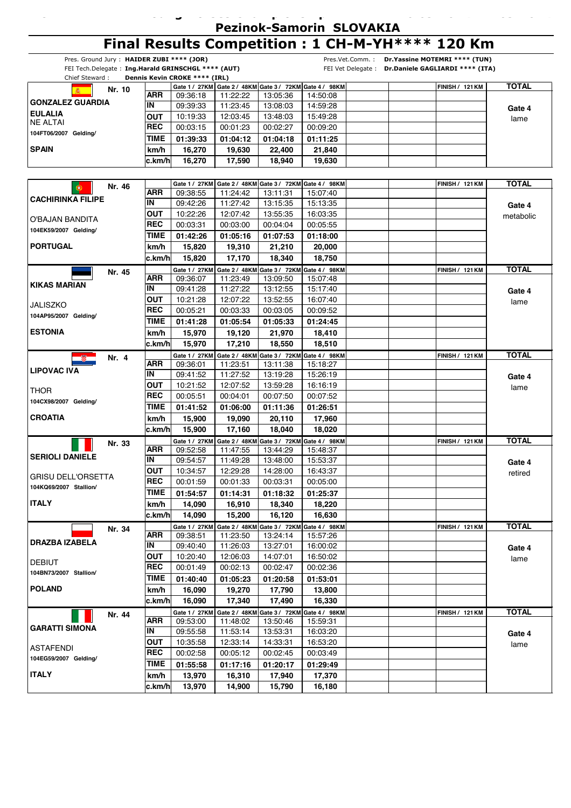**26.09.2014 27.09.2014 -**

## **Final Results Competition : 1 CH-M-YH\*\*\*\* 120 Km**

**CH-M-YH\*\*\*\* Young Horses Championship**

|                           |        | Pres. Ground Jury: HAIDER ZUBI **** (JOR) | FEI Tech.Delegate: Ing.Harald GRINSCHGL **** (AUT) |                           |                                                         |                             | Pres.Vet.Comm.: Dr.Yassine MOTEMRI **** (TUN)<br>FEI Vet Delegate : Dr.Daniele GAGLIARDI **** (ITA) |                        |              |
|---------------------------|--------|-------------------------------------------|----------------------------------------------------|---------------------------|---------------------------------------------------------|-----------------------------|-----------------------------------------------------------------------------------------------------|------------------------|--------------|
| Chief Steward:            |        |                                           | Dennis Kevin CROKE **** (IRL)                      |                           |                                                         |                             |                                                                                                     |                        |              |
|                           | Nr. 10 |                                           |                                                    |                           | Gate 1 / 27KM Gate 2 / 48KM Gate 3 / 72KM Gate 4 / 98KM |                             |                                                                                                     | <b>FINISH / 121 KM</b> | <b>TOTAL</b> |
|                           |        | ARR                                       | 09:36:18                                           | 11:22:22                  | 13:05:36                                                | 14:50:08                    |                                                                                                     |                        |              |
| <b>GONZALEZ GUARDIA</b>   |        | IN                                        | 09:39:33                                           | 11:23:45                  | 13:08:03                                                | 14:59:28                    |                                                                                                     |                        | Gate 4       |
| <b>EULALIA</b>            |        | OUT                                       | 10:19:33                                           | 12:03:45                  | 13:48:03                                                | 15:49:28                    |                                                                                                     |                        | lame         |
| <b>NE ALTAI</b>           |        | <b>REC</b>                                | 00:03:15                                           | 00:01:23                  | 00:02:27                                                | 00:09:20                    |                                                                                                     |                        |              |
| 104FT06/2007 Gelding/     |        | TIME                                      | 01:39:33                                           | 01:04:12                  | 01:04:18                                                | 01:11:25                    |                                                                                                     |                        |              |
| <b>SPAIN</b>              |        | km/h                                      | 16,270                                             | 19,630                    | 22,400                                                  | 21,840                      |                                                                                                     |                        |              |
|                           |        | c.km/h                                    | 16,270                                             | 17,590                    | 18,940                                                  | 19,630                      |                                                                                                     |                        |              |
|                           |        |                                           |                                                    |                           |                                                         |                             |                                                                                                     |                        |              |
|                           |        |                                           | Gate 1 / 27KM                                      |                           | Gate 2 / 48KM Gate 3 / 72KM Gate 4 / 98KM               |                             |                                                                                                     | <b>FINISH / 121 KM</b> | <b>TOTAL</b> |
| $\circledast$             | Nr. 46 | ARR                                       | 09:38:55                                           | 11:24:42                  | 13:11:31                                                | 15:07:40                    |                                                                                                     |                        |              |
| <b>CACHIRINKA FILIPE</b>  |        | IN                                        | 09:42:26                                           | 11:27:42                  | 13:15:35                                                | 15:13:35                    |                                                                                                     |                        | Gate 4       |
|                           |        | OUT                                       | 10:22:26                                           | 12:07:42                  | 13:55:35                                                | 16:03:35                    |                                                                                                     |                        | metabolic    |
| O'BAJAN BANDITA           |        | <b>REC</b>                                | 00:03:31                                           | 00:03:00                  | 00:04:04                                                | 00:05:55                    |                                                                                                     |                        |              |
| 104EK59/2007 Gelding/     |        | <b>TIME</b>                               | 01:42:26                                           | 01:05:16                  | 01:07:53                                                | 01:18:00                    |                                                                                                     |                        |              |
| <b>PORTUGAL</b>           |        | km/h                                      | 15,820                                             | 19,310                    | 21,210                                                  | 20,000                      |                                                                                                     |                        |              |
|                           |        | c.km/h                                    | 15,820                                             | 17,170                    | 18,340                                                  | 18,750                      |                                                                                                     |                        |              |
|                           |        |                                           | Gate 1 / 27KM                                      |                           | Gate 2 / 48KM Gate 3 / 72KM Gate 4 / 98KM               |                             |                                                                                                     | <b>FINISH / 121 KM</b> | <b>TOTAL</b> |
|                           | Nr. 45 | <b>ARR</b>                                | 09:36:07                                           | 11:23:49                  | 13:09:50                                                | 15:07:48                    |                                                                                                     |                        |              |
| <b>KIKAS MARIAN</b>       |        | IN                                        | 09:41:28                                           | 11:27:22                  | 13:12:55                                                | 15:17:40                    |                                                                                                     |                        | Gate 4       |
|                           |        | OUT                                       | 10:21:28                                           | 12:07:22                  | 13:52:55                                                | 16:07:40                    |                                                                                                     |                        | lame         |
| <b>JALISZKO</b>           |        | <b>REC</b>                                | 00:05:21                                           | 00:03:33                  | 00:03:05                                                | 00:09:52                    |                                                                                                     |                        |              |
| 104AP95/2007 Gelding/     |        | TIME                                      | 01:41:28                                           | 01:05:54                  | 01:05:33                                                | 01:24:45                    |                                                                                                     |                        |              |
| <b>ESTONIA</b>            |        | km/h                                      | 15,970                                             | 19,120                    | 21,970                                                  | 18,410                      |                                                                                                     |                        |              |
|                           |        | c.km/h                                    | 15,970                                             | 17,210                    | 18,550                                                  | 18,510                      |                                                                                                     |                        |              |
|                           |        |                                           |                                                    |                           | Gate 2 / 48KM Gate 3 / 72KM Gate 4 / 98KM               |                             |                                                                                                     |                        | <b>TOTAL</b> |
|                           | Nr. 4  | ARR                                       | Gate 1 / 27KM<br>09:36:01                          | 11:23:51                  | 13:11:38                                                | 15:18:27                    |                                                                                                     | <b>FINISH / 121 KM</b> |              |
| <b>LIPOVAC IVA</b>        |        | IN                                        | 09:41:52                                           | 11:27:52                  | 13:19:28                                                | 15:26:19                    |                                                                                                     |                        |              |
|                           |        | <b>OUT</b>                                | 10:21:52                                           | 12:07:52                  | 13:59:28                                                | 16:16:19                    |                                                                                                     |                        | Gate 4       |
| THOR                      |        | <b>REC</b>                                | 00:05:51                                           | 00:04:01                  | 00:07:50                                                | 00:07:52                    |                                                                                                     |                        | lame         |
| 104CX98/2007 Gelding/     |        | TIME                                      | 01:41:52                                           | 01:06:00                  | 01:11:36                                                | 01:26:51                    |                                                                                                     |                        |              |
| <b>CROATIA</b>            |        | km/h                                      | 15,900                                             | 19,090                    | 20,110                                                  | 17,960                      |                                                                                                     |                        |              |
|                           |        | c.km/h                                    | 15,900                                             | 17,160                    | 18,040                                                  | 18,020                      |                                                                                                     |                        |              |
|                           |        |                                           |                                                    |                           |                                                         | Gate 3 / 72KM Gate 4 / 98KM |                                                                                                     | <b>FINISH / 121 KM</b> | <b>TOTAL</b> |
|                           | Nr. 33 | ARR                                       | Gate 1 / 27KM<br>09:52:58                          | Gate 2 / 48KM<br>11:47:55 | 13:44:29                                                | 15:48:37                    |                                                                                                     |                        |              |
| <b>SERIOLI DANIELE</b>    |        | IN                                        | 09:54:57                                           | 11:49:28                  | 13:48:00                                                | 15:53:37                    |                                                                                                     |                        |              |
|                           |        | <b>OUT</b>                                | 10:34:57                                           | 12:29:28                  | 14:28:00                                                | 16:43:37                    |                                                                                                     |                        | Gate 4       |
| <b>GRISU DELL'ORSETTA</b> |        | <b>REC</b>                                | 00:01:59                                           | 00:01:33                  | 00:03:31                                                | 00:05:00                    |                                                                                                     |                        | retired      |
| 104KQ69/2007 Stallion/    |        | TIME                                      | 01:54:57                                           | 01:14:31                  | 01:18:32                                                | 01:25:37                    |                                                                                                     |                        |              |
| <b>ITALY</b>              |        | km/h                                      | 14,090                                             | 16,910                    | 18,340                                                  | 18,220                      |                                                                                                     |                        |              |
|                           |        | c.km/hl                                   | 14,090                                             | 15,200                    | 16,120                                                  | 16,630                      |                                                                                                     |                        |              |
|                           |        |                                           |                                                    |                           | Gate 2 / 48KM Gate 3 / 72KM Gate 4 / 98KM               |                             |                                                                                                     | <b>FINISH / 121 KM</b> | <b>TOTAL</b> |
|                           | Nr. 34 | <b>ARR</b>                                | Gate 1 / 27KM<br>09:38:51                          | 11:23:50                  | 13:24:14                                                | 15:57:26                    |                                                                                                     |                        |              |
| <b>DRAZBA IZABELA</b>     |        | IN                                        | 09:40:40                                           | 11:26:03                  | 13:27:01                                                | 16:00:02                    |                                                                                                     |                        | Gate 4       |
|                           |        | OUT                                       | 10:20:40                                           | 12:06:03                  | 14:07:01                                                | 16:50:02                    |                                                                                                     |                        |              |
| <b>DEBIUT</b>             |        | <b>REC</b>                                | 00:01:49                                           | 00:02:13                  | 00:02:47                                                | 00:02:36                    |                                                                                                     |                        | lame         |
| 104BN73/2007 Stallion/    |        | TIME                                      | 01:40:40                                           | 01:05:23                  | 01:20:58                                                | 01:53:01                    |                                                                                                     |                        |              |
| <b>POLAND</b>             |        | km/h                                      | 16,090                                             | 19,270                    | 17,790                                                  | 13,800                      |                                                                                                     |                        |              |
|                           |        | c.km/h                                    | 16,090                                             | 17,340                    | 17,490                                                  | 16,330                      |                                                                                                     |                        |              |
|                           |        |                                           |                                                    |                           |                                                         |                             |                                                                                                     |                        | <b>TOTAL</b> |
|                           | Nr. 44 | ARR                                       | Gate 1 / 27KM<br>09:53:00                          | 11:48:02                  | Gate 2 / 48KM Gate 3 / 72KM Gate 4 / 98KM<br>13:50:46   | 15:59:31                    |                                                                                                     | <b>FINISH / 121 KM</b> |              |
| <b>GARATTI SIMONA</b>     |        | IN                                        | 09:55:58                                           | 11:53:14                  | 13:53:31                                                | 16:03:20                    |                                                                                                     |                        |              |
|                           |        | OUT                                       | 10:35:58                                           | 12:33:14                  | 14:33:31                                                | 16:53:20                    |                                                                                                     |                        | Gate 4       |
| <b>ASTAFENDI</b>          |        | <b>REC</b>                                | 00:02:58                                           | 00:05:12                  | 00:02:45                                                | 00:03:49                    |                                                                                                     |                        | lame         |
| 104EG59/2007 Gelding/     |        | TIME                                      | 01:55:58                                           |                           |                                                         |                             |                                                                                                     |                        |              |
| <b>ITALY</b>              |        | km/h                                      | 13,970                                             | 01:17:16                  | 01:20:17                                                | 01:29:49                    |                                                                                                     |                        |              |
|                           |        |                                           |                                                    | 16,310                    | 17,940                                                  | 17,370                      |                                                                                                     |                        |              |
|                           |        | c.km/h                                    | 13,970                                             | 14,900                    | 15,790                                                  | 16,180                      |                                                                                                     |                        |              |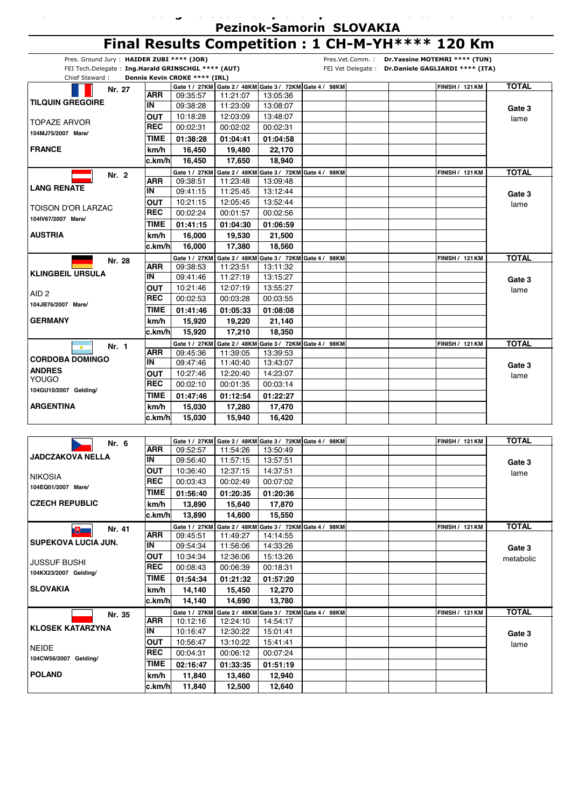| ----- <i>-</i> --------------------------- |  |
|--------------------------------------------|--|
| <b>Pezinok-Samorin SLOVAKIA</b>            |  |

**26.09.2014 27.09.2014 -**

**Gate 3** lame

## **Final Results Competition : 1 CH-M-YH\*\*\*\* 120 Km**

|                                                    |                          |                               |                      |          | Final Results Competition: I CH-M-TH $\mathbb{R}^{n\times n\times n}$ | IZU NIII                                           |              |
|----------------------------------------------------|--------------------------|-------------------------------|----------------------|----------|-----------------------------------------------------------------------|----------------------------------------------------|--------------|
| Pres. Ground Jury: HAIDER ZUBI **** (JOR)          |                          |                               |                      |          |                                                                       | Pres.Vet.Comm.: Dr.Yassine MOTEMRI **** (TUN)      |              |
| FEI Tech.Delegate: Ing.Harald GRINSCHGL **** (AUT) |                          |                               |                      |          |                                                                       | FEI Vet Delegate : Dr.Daniele GAGLIARDI **** (ITA) |              |
| Chief Steward:                                     |                          | Dennis Kevin CROKE **** (IRL) |                      |          |                                                                       |                                                    |              |
| Nr. 27                                             | ARR                      |                               |                      | 13:05:36 | Gate 1 / 27KM Gate 2 / 48KM Gate 3 / 72KM Gate 4 / 98KM               | <b>FINISH / 121 KM</b>                             | <b>TOTAL</b> |
| <b>TILQUIN GREGOIRE</b>                            | IN                       | 09:35:57<br>09:38:28          | 11:21:07<br>11:23:09 | 13:08:07 |                                                                       |                                                    |              |
|                                                    | <b>OUT</b>               | 10:18:28                      | 12:03:09             |          |                                                                       |                                                    | Gate 3       |
| <b>TOPAZE ARVOR</b>                                | <b>REC</b>               | 00:02:31                      | 00:02:02             | 13:48:07 |                                                                       |                                                    | lame         |
| 104MJ75/2007 Mare/                                 |                          |                               |                      | 00:02:31 |                                                                       |                                                    |              |
|                                                    | TIME                     | 01:38:28                      | 01:04:41             | 01:04:58 |                                                                       |                                                    |              |
| <b>FRANCE</b>                                      | km/h                     | 16,450                        | 19.480               | 22,170   |                                                                       |                                                    |              |
|                                                    | lc.km/hl                 | 16,450                        | 17,650               | 18,940   |                                                                       |                                                    |              |
| Nr. 2                                              |                          |                               |                      |          | Gate 1 / 27KM Gate 2 / 48KM Gate 3 / 72KM Gate 4 / 98KM               | <b>FINISH / 121 KM</b>                             | <b>TOTAL</b> |
| <b>LANG RENATE</b>                                 | ARR<br>IN                | 09:38:51<br>09:41:15          | 11:23:48<br>11:25:45 | 13:09:48 |                                                                       |                                                    |              |
|                                                    |                          |                               |                      | 13:12:44 |                                                                       |                                                    | Gate 3       |
| <b>TOISON D'OR LARZAC</b>                          | <b>OUT</b><br><b>REC</b> | 10:21:15                      | 12:05:45             | 13:52:44 |                                                                       |                                                    | lame         |
| 104IV67/2007 Mare/                                 |                          | 00:02:24                      | 00:01:57             | 00:02:56 |                                                                       |                                                    |              |
|                                                    | TIME                     | 01:41:15                      | 01:04:30             | 01:06:59 |                                                                       |                                                    |              |
| <b>AUSTRIA</b>                                     | km/h                     | 16,000                        | 19.530               | 21,500   |                                                                       |                                                    |              |
|                                                    | c.km/hl                  | 16,000                        | 17,380               | 18,560   |                                                                       |                                                    |              |
| Nr. 28                                             |                          | Gate 1 / 27KM                 |                      |          | Gate 2 / 48KM Gate 3 / 72KM Gate 4 / 98KM                             | <b>FINISH / 121 KM</b>                             | <b>TOTAL</b> |
| <b>KLINGBEIL URSULA</b>                            | ARR<br>IN                | 09:38:53                      | 11:23:51             | 13:11:32 |                                                                       |                                                    |              |
|                                                    |                          | 09:41:46                      | 11:27:19             | 13:15:27 |                                                                       |                                                    | Gate 3       |
| AID <sub>2</sub>                                   | OUT                      | 10:21:46                      | 12:07:19             | 13:55:27 |                                                                       |                                                    | lame         |
| 104JB76/2007 Mare/                                 | <b>REC</b>               | 00:02:53                      | 00:03:28             | 00:03:55 |                                                                       |                                                    |              |
|                                                    | TIME                     | 01:41:46                      | 01:05:33             | 01:08:08 |                                                                       |                                                    |              |
| <b>GERMANY</b>                                     | km/h                     | 15,920                        | 19,220               | 21,140   |                                                                       |                                                    |              |
|                                                    | c.km/hl                  | 15,920                        | 17,210               | 18,350   |                                                                       |                                                    |              |
| Nr. 1<br>$\bullet$                                 |                          | Gate 1 / 27KM                 |                      |          | Gate 2 / 48KM Gate 3 / 72KM Gate 4 / 98KM                             | <b>FINISH / 121 KM</b>                             | <b>TOTAL</b> |
| <b>CORDOBA DOMINGO</b>                             | ARR                      | 09:45:36                      | 11:39:05             | 13:39:53 |                                                                       |                                                    |              |
| <b>ANDRES</b>                                      | IN                       | 09:47:46                      | 11:40:40             | 13:43:07 |                                                                       |                                                    | Gate 3       |
| <b>YOUGO</b>                                       | OUT                      | 10:27:46                      | 12:20:40             | 14:23:07 |                                                                       |                                                    | lame         |
| 104GU10/2007 Gelding/                              | <b>REC</b>               | 00:02:10                      | 00:01:35             | 00:03:14 |                                                                       |                                                    |              |
|                                                    | TIME                     | 01:47:46                      | 01:12:54             | 01:22:27 |                                                                       |                                                    |              |
| <b>ARGENTINA</b>                                   | km/h                     | 15,030                        | 17,280               | 17,470   |                                                                       |                                                    |              |
|                                                    | c.km/h                   | 15,030                        | 15,940               | 16,420   |                                                                       |                                                    |              |
|                                                    |                          |                               |                      |          |                                                                       |                                                    |              |
| Nr. 6                                              |                          |                               |                      |          | Gate 1 / 27KM Gate 2 / 48KM Gate 3 / 72KM Gate 4 / 98KM               | <b>FINISH / 121 KM</b>                             | <b>TOTAL</b> |
| <b>JADCZAKOVA NELLA</b>                            | ARR                      | 09:52:57                      | 11:54:26             | 13:50:49 |                                                                       |                                                    |              |
|                                                    | IN                       | 09:56:40                      | 11:57:15             | 13:57:51 |                                                                       |                                                    | Gate 3       |
| <b>NIKOSIA</b>                                     | <b>OUT</b>               | 10:36:40                      | 12:37:15             | 14:37:51 |                                                                       |                                                    | lame         |
| 104EQ01/2007 Mare/                                 | <b>REC</b>               | 00:03:43                      | 00:02:49             | 00:07:02 |                                                                       |                                                    |              |
|                                                    | <b>TIME</b>              | 01:56:40                      | 01:20:35             | 01:20:36 |                                                                       |                                                    |              |
| <b>CZECH REPUBLIC</b>                              | km/h                     | 13,890                        | 15,640               | 17,870   |                                                                       |                                                    |              |
|                                                    | lc.km/hl                 | 13.890                        | 14,600               | 15,550   |                                                                       |                                                    |              |
| Nr. 41<br>$\mathbb{U}$                             |                          | Gate 1 / 27KM                 |                      |          | Gate 2 / 48KM Gate 3 / 72KM Gate 4 / 98KM                             | <b>FINISH / 121 KM</b>                             | <b>TOTAL</b> |
|                                                    | ARR                      | 09:45:51                      | 11:49:27             | 14:14:55 |                                                                       |                                                    |              |
| <b>SUPEKOVA LUCIA JUN.</b>                         | IN                       | 09:54:34                      | 11:56:06             | 14:33:26 |                                                                       |                                                    | Gate 3       |
|                                                    | OUT                      | 10:34:34                      | 12:36:06             | 15:13:26 |                                                                       |                                                    | metabolic    |
| <b>JUSSUF BUSHI</b>                                | <b>REC</b>               | 00:08:43                      | 00:06:39             | 00:18:31 |                                                                       |                                                    |              |
| 104KX23/2007 Gelding/                              | TIME                     | 01:54:34                      | 01:21:32             | 01:57:20 |                                                                       |                                                    |              |
| <b>SLOVAKIA</b>                                    | km/h                     | 14,140                        | 15,450               | 12,270   |                                                                       |                                                    |              |
|                                                    | c.km/h                   | 14,140                        | 14,690               | 13,780   |                                                                       |                                                    |              |
|                                                    |                          | Gate 1 / 27KM                 |                      |          | Gate 2 / 48KM Gate 3 / 72KM Gate 4 / 98KM                             | <b>FINISH / 121 KM</b>                             | <b>TOTAL</b> |
| Nr. 35                                             | ARR                      | 10:12:16                      | 12:24:10             | 14:54:17 |                                                                       |                                                    |              |
| <b>KLOSEK KATARZYNA</b>                            | $\overline{\mathsf{IN}}$ | 10:16:47                      | 12:30:22             | 15:01:41 |                                                                       |                                                    | Gate 3       |

10:16:47 10:56:47 12:30:22 13:10:22

00:06:12

**13,460**

**c.km/h 12,500 12,640 11,840**

**01:33:35 01:51:19**

 $15:01:41$ 15:41:41

**12,940**

00:07:24

**02:16:47 11,840**

**REC** 00:04:31

**km/h**

**POLAND**

**104CW56/2007 Gelding/**

NEIDE

**TIME OUT**<br>REC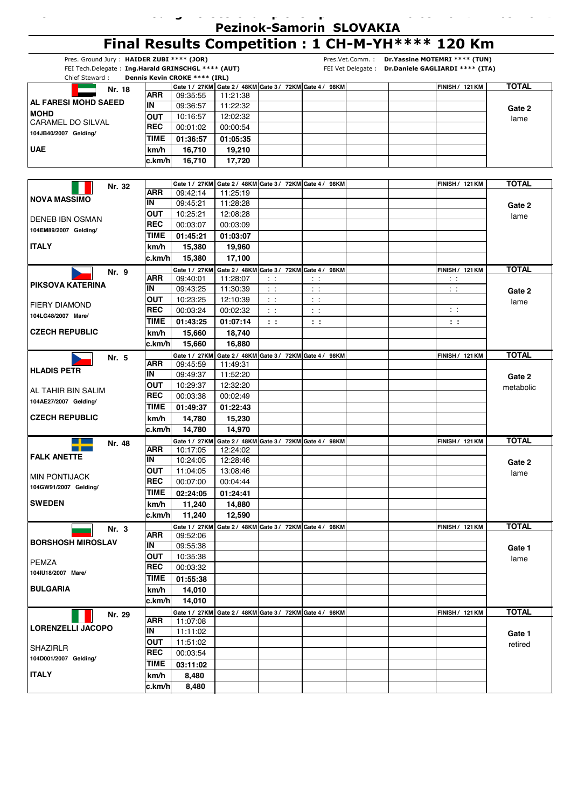|                                                    |                |                               |                      |                                                         |               | <b>Pezinok-Samorin SLOVAKIA</b> |                                                    |                |
|----------------------------------------------------|----------------|-------------------------------|----------------------|---------------------------------------------------------|---------------|---------------------------------|----------------------------------------------------|----------------|
|                                                    |                |                               |                      |                                                         |               |                                 | Final Results Competition : 1 CH-M-YH**** 120 Km   |                |
| Pres. Ground Jury: HAIDER ZUBI **** (JOR)          |                |                               |                      |                                                         |               | Pres.Vet.Comm.:                 | Dr. Yassine MOTEMRI **** (TUN)                     |                |
| FEI Tech.Delegate: Ing.Harald GRINSCHGL **** (AUT) |                |                               |                      |                                                         |               |                                 | FEI Vet Delegate : Dr.Daniele GAGLIARDI **** (ITA) |                |
| Chief Steward:                                     |                | Dennis Kevin CROKE **** (IRL) |                      | Gate 1 / 27KM Gate 2 / 48KM Gate 3 / 72KM Gate 4 / 98KM |               |                                 | <b>FINISH / 121 KM</b>                             | <b>TOTAL</b>   |
| Nr. 18                                             | <b>ARR</b>     | 09:35:55                      | 11:21:38             |                                                         |               |                                 |                                                    |                |
| AL FARESI MOHD SAEED                               | IN             | 09:36:57                      | 11:22:32             |                                                         |               |                                 |                                                    | Gate 2         |
| <b>MOHD</b><br><b>CARAMEL DO SILVAL</b>            | <b>OUT</b>     | 10:16:57                      | 12:02:32             |                                                         |               |                                 |                                                    | lame           |
| 104JB40/2007 Gelding/                              | <b>REC</b>     | 00:01:02                      | 00:00:54             |                                                         |               |                                 |                                                    |                |
|                                                    | TIME           | 01:36:57                      | 01:05:35             |                                                         |               |                                 |                                                    |                |
| <b>UAE</b>                                         | km/h           | 16,710                        | 19,210               |                                                         |               |                                 |                                                    |                |
|                                                    | c.km/h         | 16,710                        | 17,720               |                                                         |               |                                 |                                                    |                |
|                                                    |                |                               |                      |                                                         |               |                                 |                                                    |                |
| Nr. 32                                             | <b>ARR</b>     | Gate 1 / 27KM<br>09:42:14     | 11:25:19             | Gate 2 / 48KM Gate 3 / 72KM Gate 4 / 98KM               |               |                                 | <b>FINISH / 121 KM</b>                             | <b>TOTAL</b>   |
| <b>NOVA MASSIMO</b>                                | IN             | 09:45:21                      | 11:28:28             |                                                         |               |                                 |                                                    |                |
|                                                    | OUT            | 10:25:21                      | 12:08:28             |                                                         |               |                                 |                                                    | Gate 2<br>lame |
| <b>DENEB IBN OSMAN</b>                             | <b>REC</b>     | 00:03:07                      | 00:03:09             |                                                         |               |                                 |                                                    |                |
| 104EM89/2007 Gelding/                              | TIME           | 01:45:21                      | 01:03:07             |                                                         |               |                                 |                                                    |                |
| <b>ITALY</b>                                       | km/h           | 15,380                        | 19,960               |                                                         |               |                                 |                                                    |                |
|                                                    | c.km/h         | 15,380                        | 17,100               |                                                         |               |                                 |                                                    |                |
| Nr. 9                                              |                | Gate 1 / 27KM                 |                      | Gate 2 / 48KM Gate 3 / 72KM Gate 4 / 98KM               |               |                                 | <b>FINISH / 121 KM</b>                             | <b>TOTAL</b>   |
| PIKSOVA KATERINA                                   | <b>ARR</b>     | 09:40:01                      | 11:28:07             | $\sim$ $\sim$                                           | $\pm$ $\pm$   |                                 | $\sim$ $\sim$                                      |                |
|                                                    | IN             | 09:43:25                      | 11:30:39             | $\sim$ 1                                                | $\sim$ $\sim$ |                                 | tτ                                                 | Gate 2         |
| <b>FIERY DIAMOND</b>                               | <b>OUT</b>     | 10:23:25                      | 12:10:39             | $\lesssim$ $\lesssim$                                   | $\bar{z}$ .   |                                 |                                                    | lame           |
| 104LG48/2007 Mare/                                 | <b>REC</b>     | 00:03:24                      | 00:02:32             | $\pm$ $\pm$                                             | $\sim$ $\sim$ |                                 | $\sim$ 1                                           |                |
|                                                    | TIME           | 01:43:25                      | 01:07:14             | $\mathbf{1}$                                            | $\mathbf{1}$  |                                 | $\mathbf{1}$                                       |                |
| <b>CZECH REPUBLIC</b>                              | km/h<br>c.km/h | 15,660<br>15,660              | 18,740<br>16,880     |                                                         |               |                                 |                                                    |                |
|                                                    |                | Gate 1 / 27KM                 |                      | Gate 2 / 48KM Gate 3 / 72KM Gate 4 / 98KM               |               |                                 | <b>FINISH / 121 KM</b>                             | <b>TOTAL</b>   |
| Nr. 5                                              | ARR            | 09:45:59                      | 11:49:31             |                                                         |               |                                 |                                                    |                |
| <b>HLADIS PETR</b>                                 | IN             | 09:49:37                      | 11:52:20             |                                                         |               |                                 |                                                    | Gate 2         |
|                                                    | <b>OUT</b>     | 10:29:37                      | 12:32:20             |                                                         |               |                                 |                                                    | metabolic      |
| AL TAHIR BIN SALIM<br>104AE27/2007 Gelding/        | <b>REC</b>     | 00:03:38                      | 00:02:49             |                                                         |               |                                 |                                                    |                |
|                                                    | TIME           | 01:49:37                      | 01:22:43             |                                                         |               |                                 |                                                    |                |
| <b>CZECH REPUBLIC</b>                              | km/h           | 14,780                        | 15,230               |                                                         |               |                                 |                                                    |                |
|                                                    | c.km/h         | 14,780                        | 14,970               |                                                         |               |                                 |                                                    |                |
| Nr. 48                                             | <b>ARR</b>     | Gate 1 / 27KM                 |                      | Gate 2 / 48KM Gate 3 / 72KM Gate 4 / 98KM               |               |                                 | <b>FINISH / 121 KM</b>                             | <b>TOTAL</b>   |
| <b>FALK ANETTE</b>                                 | <b>IN</b>      | 10:17:05<br>10:24:05          | 12:24:02<br>12:28:46 |                                                         |               |                                 |                                                    |                |
|                                                    | OUT            | 11:04:05                      | 13:08:46             |                                                         |               |                                 |                                                    | Gate 2<br>lame |
| <b>MIN PONTIJACK</b>                               | <b>REC</b>     | 00:07:00                      | 00:04:44             |                                                         |               |                                 |                                                    |                |
| 104GW91/2007 Gelding/                              | <b>TIME</b>    | 02:24:05                      | 01:24:41             |                                                         |               |                                 |                                                    |                |
| <b>SWEDEN</b>                                      | km/h           | 11,240                        | 14,880               |                                                         |               |                                 |                                                    |                |
|                                                    | c.km/hl        | 11,240                        | 12,590               |                                                         |               |                                 |                                                    |                |
| Nr. 3                                              |                |                               |                      | Gate 1 / 27KM Gate 2 / 48KM Gate 3 / 72KM Gate 4 / 98KM |               |                                 | <b>FINISH / 121 KM</b>                             | <b>TOTAL</b>   |
| <b>BORSHOSH MIROSLAV</b>                           | ARR            | 09:52:06                      |                      |                                                         |               |                                 |                                                    |                |
|                                                    | IN             | 09:55:38                      |                      |                                                         |               |                                 |                                                    | Gate 1         |
| <b>PEMZA</b>                                       | <b>OUT</b>     | 10:35:38                      |                      |                                                         |               |                                 |                                                    | lame           |
| 104IU18/2007 Mare/                                 | <b>REC</b>     | 00:03:32                      |                      |                                                         |               |                                 |                                                    |                |
| <b>BULGARIA</b>                                    | <b>TIME</b>    | 01:55:38                      |                      |                                                         |               |                                 |                                                    |                |
|                                                    | km/h           | 14,010                        |                      |                                                         |               |                                 |                                                    |                |
|                                                    | c.km/h         | 14,010<br>Gate 1 / 27KM       |                      |                                                         |               |                                 |                                                    | <b>TOTAL</b>   |
| Nr. 29                                             | ARR            | 11:07:08                      |                      | Gate 2 / 48KM Gate 3 / 72KM Gate 4 / 98KM               |               |                                 | <b>FINISH / 121 KM</b>                             |                |
| <b>LORENZELLI JACOPO</b>                           | IN             | 11:11:02                      |                      |                                                         |               |                                 |                                                    | Gate 1         |
|                                                    | <b>OUT</b>     | 11:51:02                      |                      |                                                         |               |                                 |                                                    | retired        |
| <b>SHAZIRLR</b>                                    | <b>REC</b>     | 00:03:54                      |                      |                                                         |               |                                 |                                                    |                |
| 104D001/2007 Gelding/                              | TIME           | 03:11:02                      |                      |                                                         |               |                                 |                                                    |                |
| <b>ITALY</b>                                       | km/h           | 8,480                         |                      |                                                         |               |                                 |                                                    |                |
|                                                    | c.km/h         | 8,480                         |                      |                                                         |               |                                 |                                                    |                |

**26.09.2014 27.09.2014 -**